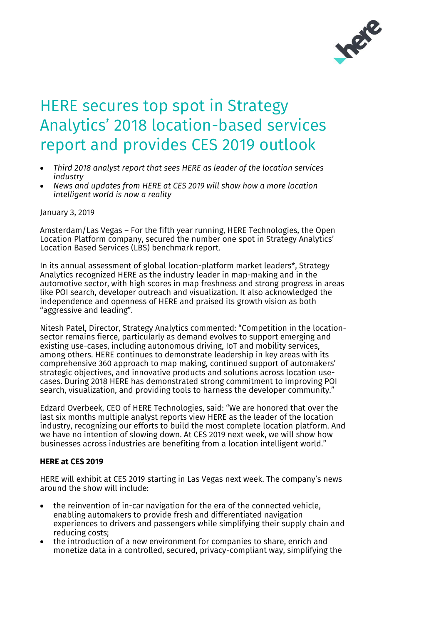

## HERE secures top spot in Strategy Analytics' 2018 location-based services report and provides CES 2019 outlook

- *Third 2018 analyst report that sees HERE as leader of the location services industry*
- *News and updates from HERE at CES 2019 will show how a more location intelligent world is now a reality*

January 3, 2019

Amsterdam/Las Vegas – For the fifth year running, HERE Technologies, the Open Location Platform company, secured the number one spot in Strategy Analytics' Location Based Services (LBS) benchmark report.

In its annual assessment of global location-platform market leaders\*, Strategy Analytics recognized HERE as the industry leader in map-making and in the automotive sector, with high scores in map freshness and strong progress in areas like POI search, developer outreach and visualization. It also acknowledged the independence and openness of HERE and praised its growth vision as both "aggressive and leading".

Nitesh Patel, Director, Strategy Analytics commented: "Competition in the locationsector remains fierce, particularly as demand evolves to support emerging and existing use-cases, including autonomous driving, IoT and mobility services, among others. HERE continues to demonstrate leadership in key areas with its comprehensive 360 approach to map making, continued support of automakers' strategic objectives, and innovative products and solutions across location usecases. During 2018 HERE has demonstrated strong commitment to improving POI search, visualization, and providing tools to harness the developer community."

Edzard Overbeek, CEO of HERE Technologies, said: "We are honored that over the last six months multiple analyst reports view HERE as the leader of the location industry, recognizing our efforts to build the most complete location platform. And we have no intention of slowing down. At CES 2019 next week, we will show how businesses across industries are benefiting from a location intelligent world."

## **HERE at CES 2019**

HERE will exhibit at CES 2019 starting in Las Vegas next week. The company's news around the show will include:

- the reinvention of in-car navigation for the era of the connected vehicle, enabling automakers to provide fresh and differentiated navigation experiences to drivers and passengers while simplifying their supply chain and reducing costs;
- the introduction of a new environment for companies to share, enrich and monetize data in a controlled, secured, privacy-compliant way, simplifying the